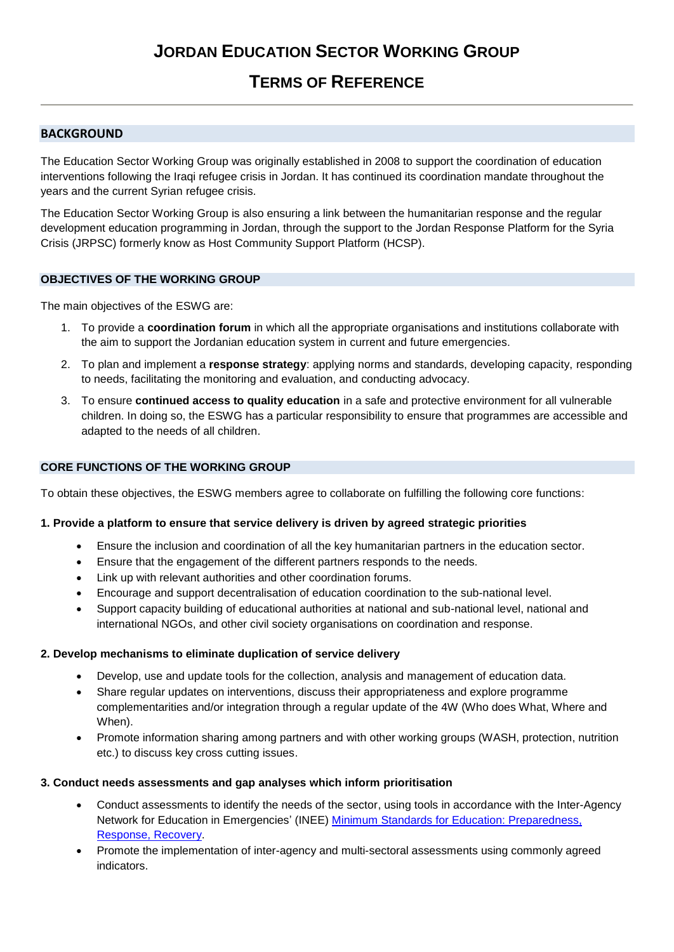# **TERMS OF REFERENCE**

## **BACKGROUND**

The Education Sector Working Group was originally established in 2008 to support the coordination of education interventions following the Iraqi refugee crisis in Jordan. It has continued its coordination mandate throughout the years and the current Syrian refugee crisis.

The Education Sector Working Group is also ensuring a link between the humanitarian response and the regular development education programming in Jordan, through the support to the Jordan Response Platform for the Syria Crisis (JRPSC) formerly know as Host Community Support Platform (HCSP).

## **OBJECTIVES OF THE WORKING GROUP**

The main objectives of the ESWG are:

- 1. To provide a **coordination forum** in which all the appropriate organisations and institutions collaborate with the aim to support the Jordanian education system in current and future emergencies.
- 2. To plan and implement a **response strategy**: applying norms and standards, developing capacity, responding to needs, facilitating the monitoring and evaluation, and conducting advocacy.
- 3. To ensure **continued access to quality education** in a safe and protective environment for all vulnerable children. In doing so, the ESWG has a particular responsibility to ensure that programmes are accessible and adapted to the needs of all children.

## **CORE FUNCTIONS OF THE WORKING GROUP**

To obtain these objectives, the ESWG members agree to collaborate on fulfilling the following core functions:

## **1. Provide a platform to ensure that service delivery is driven by agreed strategic priorities**

- Ensure the inclusion and coordination of all the key humanitarian partners in the education sector.
- Ensure that the engagement of the different partners responds to the needs.
- Link up with relevant authorities and other coordination forums.
- Encourage and support decentralisation of education coordination to the sub-national level.
- Support capacity building of educational authorities at national and sub-national level, national and international NGOs, and other civil society organisations on coordination and response.

## **2. Develop mechanisms to eliminate duplication of service delivery**

- Develop, use and update tools for the collection, analysis and management of education data.
- Share regular updates on interventions, discuss their appropriateness and explore programme complementarities and/or integration through a regular update of the 4W (Who does What, Where and When).
- Promote information sharing among partners and with other working groups (WASH, protection, nutrition etc.) to discuss key cross cutting issues.

## **3. Conduct needs assessments and gap analyses which inform prioritisation**

- Conduct assessments to identify the needs of the sector, using tools in accordance with the Inter-Agency Network for Education in Emergencies' (INEE) [Minimum Standards for Education: Preparedness,](http://toolkit.ineesite.org/toolkit/INEEcms/uploads/1012/INEE_GuideBook_EN_2012%20LoRes.pdf)  [Response, Recovery.](http://toolkit.ineesite.org/toolkit/INEEcms/uploads/1012/INEE_GuideBook_EN_2012%20LoRes.pdf)
- Promote the implementation of inter-agency and multi-sectoral assessments using commonly agreed indicators.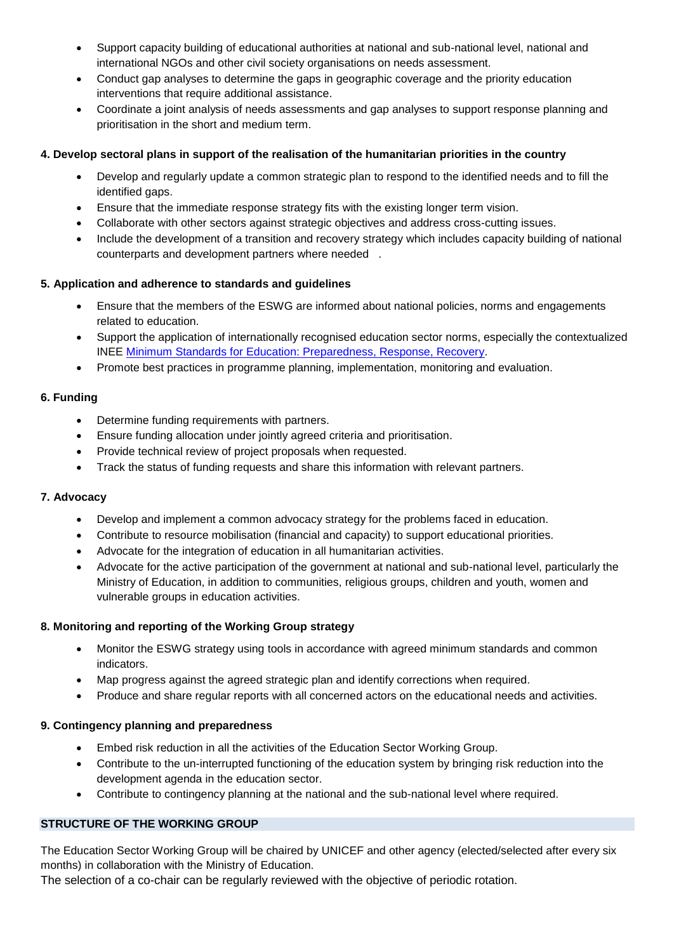- Support capacity building of educational authorities at national and sub-national level, national and international NGOs and other civil society organisations on needs assessment.
- Conduct gap analyses to determine the gaps in geographic coverage and the priority education interventions that require additional assistance.
- Coordinate a joint analysis of needs assessments and gap analyses to support response planning and prioritisation in the short and medium term.

## **4. Develop sectoral plans in support of the realisation of the humanitarian priorities in the country**

- Develop and regularly update a common strategic plan to respond to the identified needs and to fill the identified gaps.
- Ensure that the immediate response strategy fits with the existing longer term vision.
- Collaborate with other sectors against strategic objectives and address cross-cutting issues.
- Include the development of a transition and recovery strategy which includes capacity building of national counterparts and development partners where needed .

## **5. Application and adherence to standards and guidelines**

- Ensure that the members of the ESWG are informed about national policies, norms and engagements related to education.
- Support the application of internationally recognised education sector norms, especially the contextualized INEE [Minimum Standards for Education: Preparedness, Response, Recovery.](http://toolkit.ineesite.org/toolkit/INEEcms/uploads/1012/INEE_GuideBook_EN_2012%20LoRes.pdf)
- Promote best practices in programme planning, implementation, monitoring and evaluation.

## **6. Funding**

- Determine funding requirements with partners.
- Ensure funding allocation under jointly agreed criteria and prioritisation.
- Provide technical review of project proposals when requested.
- Track the status of funding requests and share this information with relevant partners.

## **7. Advocacy**

- Develop and implement a common advocacy strategy for the problems faced in education.
- Contribute to resource mobilisation (financial and capacity) to support educational priorities.
- Advocate for the integration of education in all humanitarian activities.
- Advocate for the active participation of the government at national and sub-national level, particularly the Ministry of Education, in addition to communities, religious groups, children and youth, women and vulnerable groups in education activities.

## **8. Monitoring and reporting of the Working Group strategy**

- Monitor the ESWG strategy using tools in accordance with agreed minimum standards and common indicators.
- Map progress against the agreed strategic plan and identify corrections when required.
- Produce and share regular reports with all concerned actors on the educational needs and activities.

## **9. Contingency planning and preparedness**

- Embed risk reduction in all the activities of the Education Sector Working Group.
- Contribute to the un-interrupted functioning of the education system by bringing risk reduction into the development agenda in the education sector.
- Contribute to contingency planning at the national and the sub-national level where required.

## **STRUCTURE OF THE WORKING GROUP**

The Education Sector Working Group will be chaired by UNICEF and other agency (elected/selected after every six months) in collaboration with the Ministry of Education.

The selection of a co-chair can be regularly reviewed with the objective of periodic rotation.